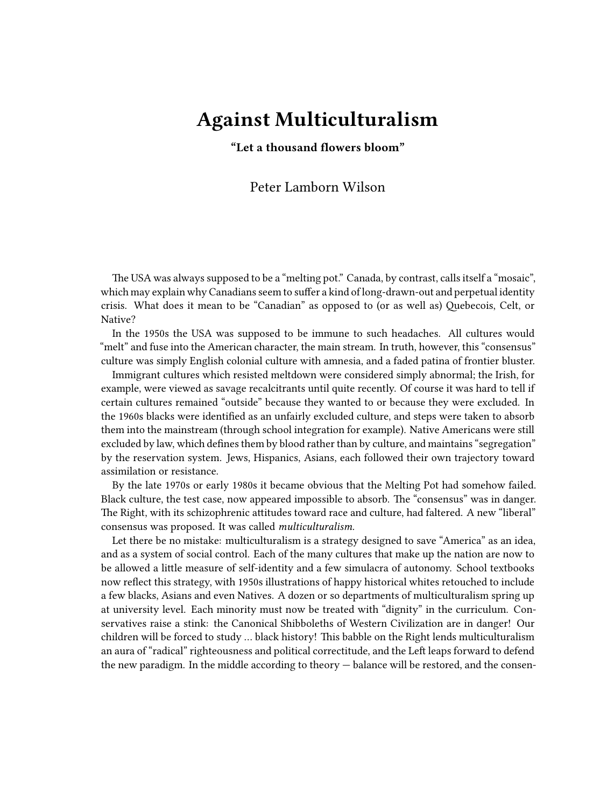## **Against Multiculturalism**

**"Let a thousand flowers bloom"**

## Peter Lamborn Wilson

The USA was always supposed to be a "melting pot." Canada, by contrast, calls itself a "mosaic", which may explain why Canadians seem to suffer a kind of long-drawn-out and perpetual identity crisis. What does it mean to be "Canadian" as opposed to (or as well as) Quebecois, Celt, or Native?

In the 1950s the USA was supposed to be immune to such headaches. All cultures would "melt" and fuse into the American character, the main stream. In truth, however, this "consensus" culture was simply English colonial culture with amnesia, and a faded patina of frontier bluster.

Immigrant cultures which resisted meltdown were considered simply abnormal; the Irish, for example, were viewed as savage recalcitrants until quite recently. Of course it was hard to tell if certain cultures remained "outside" because they wanted to or because they were excluded. In the 1960s blacks were identified as an unfairly excluded culture, and steps were taken to absorb them into the mainstream (through school integration for example). Native Americans were still excluded by law, which defines them by blood rather than by culture, and maintains "segregation" by the reservation system. Jews, Hispanics, Asians, each followed their own trajectory toward assimilation or resistance.

By the late 1970s or early 1980s it became obvious that the Melting Pot had somehow failed. Black culture, the test case, now appeared impossible to absorb. The "consensus" was in danger. The Right, with its schizophrenic attitudes toward race and culture, had faltered. A new "liberal" consensus was proposed. It was called *multiculturalism.*

Let there be no mistake: multiculturalism is a strategy designed to save "America" as an idea, and as a system of social control. Each of the many cultures that make up the nation are now to be allowed a little measure of self-identity and a few simulacra of autonomy. School textbooks now reflect this strategy, with 1950s illustrations of happy historical whites retouched to include a few blacks, Asians and even Natives. A dozen or so departments of multiculturalism spring up at university level. Each minority must now be treated with "dignity" in the curriculum. Conservatives raise a stink: the Canonical Shibboleths of Western Civilization are in danger! Our children will be forced to study … black history! This babble on the Right lends multiculturalism an aura of "radical" righteousness and political correctitude, and the Left leaps forward to defend the new paradigm. In the middle according to theory — balance will be restored, and the consen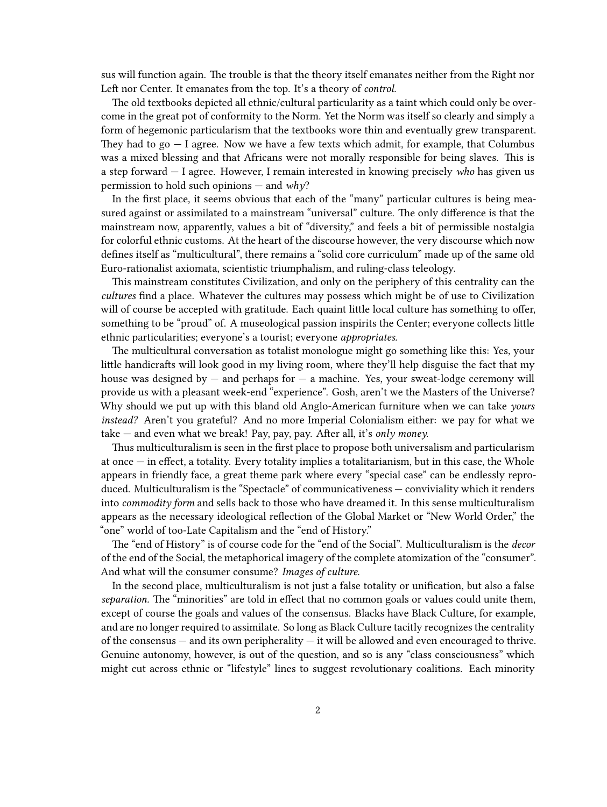sus will function again. The trouble is that the theory itself emanates neither from the Right nor Left nor Center. It emanates from the top. It's a theory of *control.*

The old textbooks depicted all ethnic/cultural particularity as a taint which could only be overcome in the great pot of conformity to the Norm. Yet the Norm was itself so clearly and simply a form of hegemonic particularism that the textbooks wore thin and eventually grew transparent. They had to  $go - I$  agree. Now we have a few texts which admit, for example, that Columbus was a mixed blessing and that Africans were not morally responsible for being slaves. This is a step forward — I agree. However, I remain interested in knowing precisely *who* has given us permission to hold such opinions — and *why*?

In the first place, it seems obvious that each of the "many" particular cultures is being measured against or assimilated to a mainstream "universal" culture. The only difference is that the mainstream now, apparently, values a bit of "diversity," and feels a bit of permissible nostalgia for colorful ethnic customs. At the heart of the discourse however, the very discourse which now defines itself as "multicultural", there remains a "solid core curriculum" made up of the same old Euro-rationalist axiomata, scientistic triumphalism, and ruling-class teleology.

This mainstream constitutes Civilization, and only on the periphery of this centrality can the *cultures* find a place. Whatever the cultures may possess which might be of use to Civilization will of course be accepted with gratitude. Each quaint little local culture has something to offer, something to be "proud" of. A museological passion inspirits the Center; everyone collects little ethnic particularities; everyone's a tourist; everyone *appropriates.*

The multicultural conversation as totalist monologue might go something like this: Yes, your little handicrafts will look good in my living room, where they'll help disguise the fact that my house was designed by  $-$  and perhaps for  $-$  a machine. Yes, your sweat-lodge ceremony will provide us with a pleasant week-end "experience". Gosh, aren't we the Masters of the Universe? Why should we put up with this bland old Anglo-American furniture when we can take *yours instead?* Aren't you grateful? And no more Imperial Colonialism either: we pay for what we take — and even what we break! Pay, pay, pay. After all, it's *only money.*

Thus multiculturalism is seen in the first place to propose both universalism and particularism at once — in effect, a totality. Every totality implies a totalitarianism, but in this case, the Whole appears in friendly face, a great theme park where every "special case" can be endlessly reproduced. Multiculturalism is the "Spectacle" of communicativeness — conviviality which it renders into *commodity form* and sells back to those who have dreamed it. In this sense multiculturalism appears as the necessary ideological reflection of the Global Market or "New World Order," the "one" world of too-Late Capitalism and the "end of History."

The "end of History" is of course code for the "end of the Social". Multiculturalism is the *decor* of the end of the Social, the metaphorical imagery of the complete atomization of the "consumer". And what will the consumer consume? *Images of culture.*

In the second place, multiculturalism is not just a false totality or unification, but also a false *separation.* The "minorities" are told in effect that no common goals or values could unite them, except of course the goals and values of the consensus. Blacks have Black Culture, for example, and are no longer required to assimilate. So long as Black Culture tacitly recognizes the centrality of the consensus  $-$  and its own peripherality  $-$  it will be allowed and even encouraged to thrive. Genuine autonomy, however, is out of the question, and so is any "class consciousness" which might cut across ethnic or "lifestyle" lines to suggest revolutionary coalitions. Each minority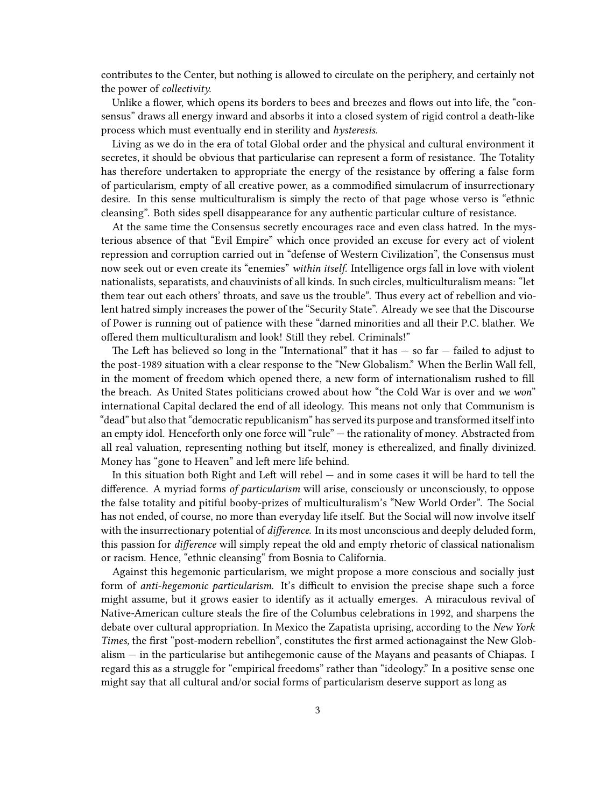contributes to the Center, but nothing is allowed to circulate on the periphery, and certainly not the power of *collectivity.*

Unlike a flower, which opens its borders to bees and breezes and flows out into life, the "consensus" draws all energy inward and absorbs it into a closed system of rigid control a death-like process which must eventually end in sterility and *hysteresis.*

Living as we do in the era of total Global order and the physical and cultural environment it secretes, it should be obvious that particularise can represent a form of resistance. The Totality has therefore undertaken to appropriate the energy of the resistance by offering a false form of particularism, empty of all creative power, as a commodified simulacrum of insurrectionary desire. In this sense multiculturalism is simply the recto of that page whose verso is "ethnic cleansing". Both sides spell disappearance for any authentic particular culture of resistance.

At the same time the Consensus secretly encourages race and even class hatred. In the mysterious absence of that "Evil Empire" which once provided an excuse for every act of violent repression and corruption carried out in "defense of Western Civilization", the Consensus must now seek out or even create its "enemies" *within itself.* Intelligence orgs fall in love with violent nationalists, separatists, and chauvinists of all kinds. In such circles, multiculturalism means: "let them tear out each others' throats, and save us the trouble". Thus every act of rebellion and violent hatred simply increases the power of the "Security State". Already we see that the Discourse of Power is running out of patience with these "darned minorities and all their P.C. blather. We offered them multiculturalism and look! Still they rebel. Criminals!"

The Left has believed so long in the "International" that it has  $-$  so far  $-$  failed to adjust to the post-1989 situation with a clear response to the "New Globalism." When the Berlin Wall fell, in the moment of freedom which opened there, a new form of internationalism rushed to fill the breach. As United States politicians crowed about how "the Cold War is over and *we won*" international Capital declared the end of all ideology. This means not only that Communism is "dead" but also that "democratic republicanism" has served its purpose and transformed itself into an empty idol. Henceforth only one force will "rule" — the rationality of money. Abstracted from all real valuation, representing nothing but itself, money is etherealized, and finally divinized. Money has "gone to Heaven" and left mere life behind.

In this situation both Right and Left will rebel — and in some cases it will be hard to tell the difference. A myriad forms *of particularism* will arise, consciously or unconsciously, to oppose the false totality and pitiful booby-prizes of multiculturalism's "New World Order". The Social has not ended, of course, no more than everyday life itself. But the Social will now involve itself with the insurrectionary potential of *difference.* In its most unconscious and deeply deluded form, this passion for *difference* will simply repeat the old and empty rhetoric of classical nationalism or racism. Hence, "ethnic cleansing" from Bosnia to California.

Against this hegemonic particularism, we might propose a more conscious and socially just form of *anti-hegemonic particularism.* It's difficult to envision the precise shape such a force might assume, but it grows easier to identify as it actually emerges. A miraculous revival of Native-American culture steals the fire of the Columbus celebrations in 1992, and sharpens the debate over cultural appropriation. In Mexico the Zapatista uprising, according to the *New York Times,* the first "post-modern rebellion", constitutes the first armed actionagainst the New Globalism — in the particularise but antihegemonic cause of the Mayans and peasants of Chiapas. I regard this as a struggle for "empirical freedoms" rather than "ideology." In a positive sense one might say that all cultural and/or social forms of particularism deserve support as long as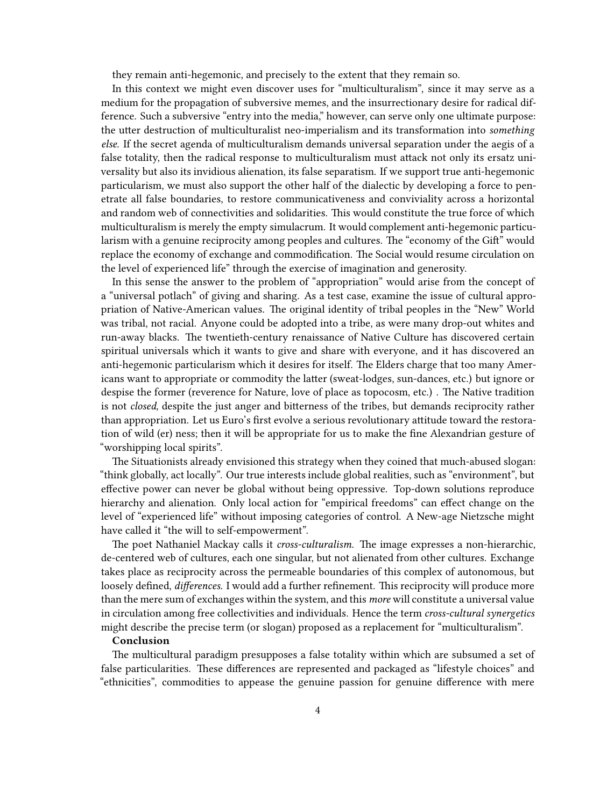they remain anti-hegemonic, and precisely to the extent that they remain so.

In this context we might even discover uses for "multiculturalism", since it may serve as a medium for the propagation of subversive memes, and the insurrectionary desire for radical difference. Such a subversive "entry into the media," however, can serve only one ultimate purpose: the utter destruction of multiculturalist neo-imperialism and its transformation into *something else.* If the secret agenda of multiculturalism demands universal separation under the aegis of a false totality, then the radical response to multiculturalism must attack not only its ersatz universality but also its invidious alienation, its false separatism. If we support true anti-hegemonic particularism, we must also support the other half of the dialectic by developing a force to penetrate all false boundaries, to restore communicativeness and conviviality across a horizontal and random web of connectivities and solidarities. This would constitute the true force of which multiculturalism is merely the empty simulacrum. It would complement anti-hegemonic particularism with a genuine reciprocity among peoples and cultures. The "economy of the Gift" would replace the economy of exchange and commodification. The Social would resume circulation on the level of experienced life" through the exercise of imagination and generosity.

In this sense the answer to the problem of "appropriation" would arise from the concept of a "universal potlach" of giving and sharing. As a test case, examine the issue of cultural appropriation of Native-American values. The original identity of tribal peoples in the "New" World was tribal, not racial. Anyone could be adopted into a tribe, as were many drop-out whites and run-away blacks. The twentieth-century renaissance of Native Culture has discovered certain spiritual universals which it wants to give and share with everyone, and it has discovered an anti-hegemonic particularism which it desires for itself. The Elders charge that too many Americans want to appropriate or commodity the latter (sweat-lodges, sun-dances, etc.) but ignore or despise the former (reverence for Nature, love of place as topocosm, etc.) . The Native tradition is not *closed,* despite the just anger and bitterness of the tribes, but demands reciprocity rather than appropriation. Let us Euro's first evolve a serious revolutionary attitude toward the restoration of wild (er) ness; then it will be appropriate for us to make the fine Alexandrian gesture of "worshipping local spirits".

The Situationists already envisioned this strategy when they coined that much-abused slogan: "think globally, act locally". Our true interests include global realities, such as "environment", but effective power can never be global without being oppressive. Top-down solutions reproduce hierarchy and alienation. Only local action for "empirical freedoms" can effect change on the level of "experienced life" without imposing categories of control. A New-age Nietzsche might have called it "the will to self-empowerment".

The poet Nathaniel Mackay calls it *cross-culturalism.* The image expresses a non-hierarchic, de-centered web of cultures, each one singular, but not alienated from other cultures. Exchange takes place as reciprocity across the permeable boundaries of this complex of autonomous, but loosely defined, *differences.* I would add a further refinement. This reciprocity will produce more than the mere sum of exchanges within the system, and this *more* will constitute a universal value in circulation among free collectivities and individuals. Hence the term *cross-cultural synergetics* might describe the precise term (or slogan) proposed as a replacement for "multiculturalism".

## **Conclusion**

The multicultural paradigm presupposes a false totality within which are subsumed a set of false particularities. These differences are represented and packaged as "lifestyle choices" and "ethnicities", commodities to appease the genuine passion for genuine difference with mere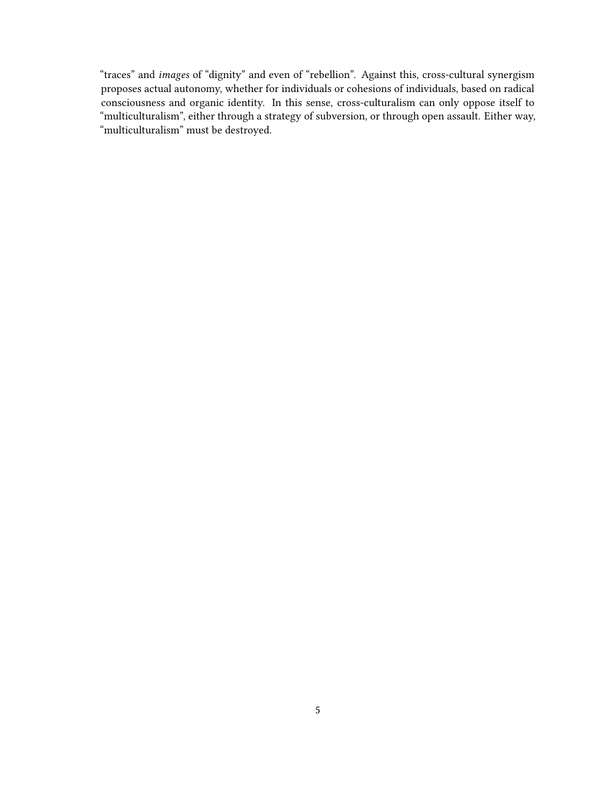"traces" and *images* of "dignity" and even of "rebellion". Against this, cross-cultural synergism proposes actual autonomy, whether for individuals or cohesions of individuals, based on radical consciousness and organic identity. In this sense, cross-culturalism can only oppose itself to "multiculturalism", either through a strategy of subversion, or through open assault. Either way, "multiculturalism" must be destroyed.